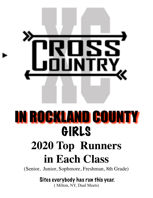

## IN ROCKLAND COUNTY GIRLS **2020 Top Runners**

## **in Each Class**

(Senior, Junior, Sophmore, Freshman, 8th Grade)

Sites everybody has run this year.

( Milton, NY, Dual Meets)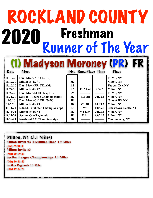# ROCKLAND COUNTY 2020 Freshman<br>Runner of The Year

(1) Madyson Moroney (PR) FR

| Date     | <b>Meet</b>                           |           | Dist. Race/Place Time |         | <b>Place</b>                |
|----------|---------------------------------------|-----------|-----------------------|---------|-----------------------------|
| 10/13/20 | Dual Meet (NR, CS, PR)                |           |                       |         | PRMS, NY                    |
| 10/17/20 | <b>Milton Invite #1</b>               | <b>5K</b> |                       |         | <b>Milton, NY</b>           |
| 10/20/20 | Dual Meet (PR, TZ, AM)                | 2.5       |                       |         | <b>Tappan Zee, NY</b>       |
| 10/24/20 | <b>Milton Invite #2</b>               | 1.5       | <b>Fr.2 2nd</b>       | 9:58.5  | <b>Milton, NY</b>           |
| 10/27/20 | Dual Meet (SUFF, NY, PR)              | 3M        |                       |         | PRMS, NY                    |
| 10/31/20 | <b>Section 1 League Championships</b> | <b>5K</b> | $L.3$ 7th             | 20:28.4 | <b>Milton, NY</b>           |
| 11/3/20  | Dual Meet (CN, PR, NAN)               | <b>5K</b> |                       |         | <b>Nanuet HS, NY</b>        |
| 11/7/20  | <b>Milton Invite #3</b>               | <b>5K</b> | $V1$ 5th              | 20:09.2 | <b>Milton, NY</b>           |
| 11/11/20 | <b>R.R.M. Freshman Championships</b>  | 1.5       | 9th                   | 10:56.0 | <b>Clarkstown South, NY</b> |
| 11/14/20 | <b>Milton Invite #4</b>               | <b>5K</b> | V <sub>2</sub> 12th   | 20:23.4 | <b>Milton, NY</b>           |
| 11/22/20 | <b>Section One Regionals</b>          | <b>5K</b> | <b>V.</b> 8th         | 19:22.7 | Milton, NY                  |
| 11/28/20 | <b>Northeast XC Championships</b>     | <b>5K</b> |                       |         | <b>Montgomery, NY</b>       |

#### **Milton, NY (3.1 Miles)**

**Milton Invite #2 Freshman Race 1.5 Miles (2nd) 9:58.50 Milton Invite #3 (5th) 20:09.20 Section League Championships 3.1 Miles (7th) 20:28.40 Section Regionals 3.1 Miles (8th) 19:22.70**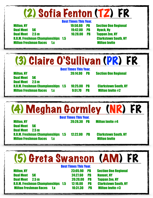#### (2) Sofia Fenton (TZ) FR Best Times This Year. Milton, NY 19:50.80 PB Section One Regional Dual Meet 5K 19:42.00 PB Nyack, Ny Dual Meet 2.5 m 16:28.00 PB Tappan Zee, NY R.R.M. Freshman Championships 1.5 Clarkstown South, NY **Milton Freshman Races 1.x Milton Invite** (3) Claire O'Sullivan (PR) FR Best Times This Year. Milton, NY 20:14.90 PB Section One Regional Dual Meet 5K Dual Meet 2.5 m R.R.M. Freshman Championships 1.5 10:25.00 PB Clarkstown South, NY Milton Freshman Races 1.x 9:51.70 PB Milton Invite #2 (4) Meghan Gormley (NR) FR Best Times This Year. Milton, NY 20:28.30 PB Milton Invite #4

Dual Meet 5K Dual Meet 2.5 m R.R.M. Freshman Championships 1.5 12:22.00 PB Clarkstown South, NY **Milton Freshman Races 1.x Milton Invite** 

### (5) Greta Swanson (AM) FR

|                                             | <b>Best Times This Year.</b> |           |                             |
|---------------------------------------------|------------------------------|-----------|-----------------------------|
| <b>Milton, NY</b>                           | 23:05.90                     | <b>PB</b> | <b>Section One Regional</b> |
| <b>Dual Meet</b><br><b>5K</b>               | 24:27.60                     | PB        | <b>Nanuet, NY</b>           |
| <b>Dual Meet</b><br>2.5 <sub>m</sub>        | 20:20.00                     | <b>PB</b> | <b>Tappan Zee, NY</b>       |
| <b>R.R.M. Freshman Championships</b><br>1.5 | 12:16.00                     | <b>PR</b> | <b>Clarkstown South, NY</b> |
| <b>Milton Freshman Races</b><br>1x          | 10:31.30                     | PB        | <b>Milton Invite #3</b>     |